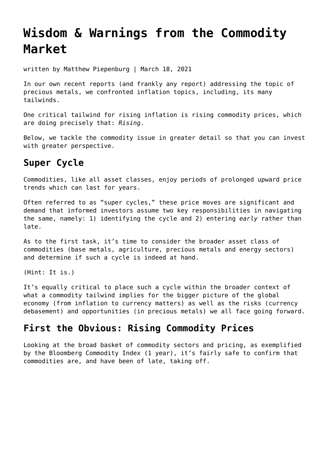# **[Wisdom & Warnings from the Commodity](https://goldswitzerland.com/wisdom-warnings-from-the-commodity-market/) [Market](https://goldswitzerland.com/wisdom-warnings-from-the-commodity-market/)**

written by Matthew Piepenburg | March 18, 2021

In our own recent reports (and frankly any report) addressing the topic of precious metals, we confronted inflation topics, including, its many tailwinds.

One critical tailwind for rising inflation is rising commodity prices, which are doing precisely that: *Rising*.

Below, we tackle the commodity issue in greater detail so that you can invest with greater perspective.

## **Super Cycle**

Commodities, like all asset classes, enjoy periods of prolonged upward price trends which can last for years.

Often referred to as "super cycles," these price moves are significant and demand that informed investors assume two key responsibilities in navigating the same, namely: 1) identifying the cycle and 2) entering *early* rather than late.

As to the first task, it's time to consider the broader asset class of commodities (base metals, agriculture, precious metals and energy sectors) and determine if such a cycle is indeed at hand.

(Hint: It is.)

It's equally critical to place such a cycle within the broader context of what a commodity tailwind implies for the bigger picture of the global economy (from inflation to currency matters) as well as the risks (currency debasement) and opportunities (in precious metals) we all face going forward.

## **First the Obvious: Rising Commodity Prices**

Looking at the broad basket of commodity sectors and pricing, as exemplified by the Bloomberg Commodity Index (1 year), it's fairly safe to confirm that commodities are, and have been of late, taking off.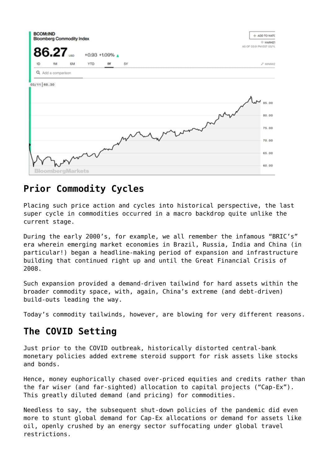

# **Prior Commodity Cycles**

Placing such price action and cycles into historical perspective, the last super cycle in commodities occurred in a macro backdrop quite unlike the current stage.

During the early 2000's, for example, we all remember the infamous "BRIC's" era wherein emerging market economies in Brazil, Russia, India and China (in particular!) began a headline-making period of expansion and infrastructure building that continued right up and until the Great Financial Crisis of 2008.

Such expansion provided a demand-driven tailwind for hard assets within the broader commodity space, with, again, China's extreme (and debt-driven) build-outs leading the way.

Today's commodity tailwinds, however, are blowing for very different reasons.

## **The COVID Setting**

Just prior to the COVID outbreak, historically distorted central-bank monetary policies added extreme steroid support for risk assets like stocks and bonds.

Hence, money euphorically chased over-priced equities and credits rather than the far wiser (and far-sighted) allocation to capital projects ("Cap-Ex"). This greatly diluted demand (and pricing) for commodities.

Needless to say, the subsequent shut-down policies of the pandemic did even more to stunt global demand for Cap-Ex allocations or demand for assets like oil, openly crushed by an energy sector suffocating under global travel restrictions.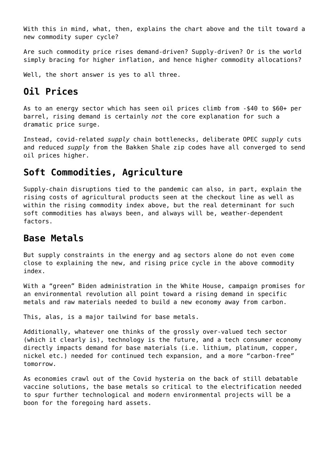With this in mind, what, then, explains the chart above and the tilt toward a new commodity super cycle?

Are such commodity price rises demand-driven? Supply-driven? Or is the world simply bracing for higher inflation, and hence higher commodity allocations?

Well, the short answer is yes to all three.

#### **Oil Prices**

As to an energy sector which has seen oil prices climb from -\$40 to \$60+ per barrel, rising demand is certainly *not* the core explanation for such a dramatic price surge.

Instead, covid-related *supply* chain bottlenecks, deliberate OPEC *supply* cuts and reduced *supply* from the Bakken Shale zip codes have all converged to send oil prices higher.

## **Soft Commodities, Agriculture**

Supply-chain disruptions tied to the pandemic can also, in part, explain the rising costs of agricultural products seen at the checkout line as well as within the rising commodity index above, but the real determinant for such soft commodities has always been, and always will be, weather-dependent factors.

#### **Base Metals**

But supply constraints in the energy and ag sectors alone do not even come close to explaining the new, and rising price cycle in the above commodity index.

With a "green" Biden administration in the White House, campaign promises for an environmental revolution all point toward a rising demand in specific metals and raw materials needed to build a new economy away from carbon.

This, alas, is a major tailwind for base metals.

Additionally, whatever one thinks of the grossly over-valued tech sector (which it clearly is), technology is the future, and a tech consumer economy directly impacts demand for base materials (i.e. lithium, platinum, copper, nickel etc.) needed for continued tech expansion, and a more "carbon-free" tomorrow.

As economies crawl out of the Covid hysteria on the back of still debatable vaccine solutions, the base metals so critical to the electrification needed to spur further technological and modern environmental projects will be a boon for the foregoing hard assets.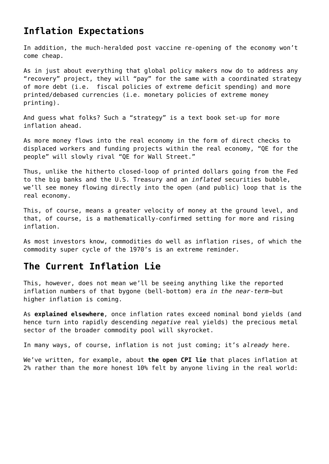# **Inflation Expectations**

In addition, the much-heralded post vaccine re-opening of the economy won't come cheap.

As in just about everything that global policy makers now do to address any "recovery" project, they will "pay" for the same with a coordinated strategy of more debt (i.e. fiscal policies of extreme deficit spending) and more printed/debased currencies (i.e. monetary policies of extreme money printing).

And guess what folks? Such a "strategy" is a text book set-up for more inflation ahead.

As more money flows into the real economy in the form of direct checks to displaced workers and funding projects within the real economy, "QE for the people" will slowly rival "QE for Wall Street."

Thus, unlike the hitherto closed-loop of printed dollars going from the Fed to the big banks and the U.S. Treasury and an *inflated* securities bubble, we'll see money flowing directly into the open (and public) loop that is the real economy.

This, of course, means a greater velocity of money at the ground level, and that, of course, is a mathematically-confirmed setting for more and rising inflation.

As most investors know, commodities do well as inflation rises, of which the commodity super cycle of the 1970's is an extreme reminder.

#### **The Current Inflation Lie**

This, however, does not mean we'll be seeing anything like the reported inflation numbers of that bygone (bell-bottom) era *in the near-term*—but higher inflation is coming.

As **[explained elsewhere](https://goldswitzerland.com/a-titanic-indicator-for-golds-rapidly-rising-future/)**, once inflation rates exceed nominal bond yields (and hence turn into rapidly descending *negative* real yields) the precious metal sector of the broader commodity pool will skyrocket.

In many ways, of course, inflation is not just coming; it's *already* here.

We've written, for example, about **[the open CPI lie](https://goldswitzerland.com/the-feds-most-convenient-lie-a-cpi-charade/)** that places inflation at 2% rather than the more honest 10% felt by anyone living in the real world: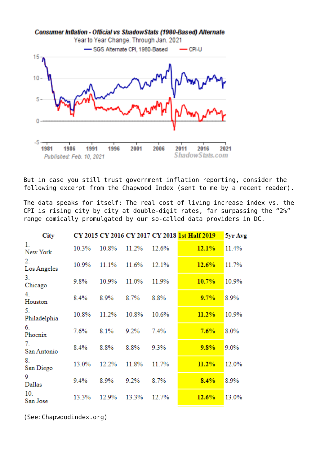

But in case you still trust government inflation reporting, consider the following excerpt from the Chapwood Index (sent to me by a recent reader).

The data speaks for itself: The real cost of living increase index vs. the CPI is rising city by city at double-digit rates, far surpassing the "2%" range comically promulgated by our so-called data providers in DC.

| City               |       |         |       |       | CY 2015 CY 2016 CY 2017 CY 2018 1st Half 2019 | 5yr Avg |
|--------------------|-------|---------|-------|-------|-----------------------------------------------|---------|
| 1.<br>New York     | 10.3% | 10.8%   | 11.2% | 12.6% | 12.1%                                         | 11.4%   |
| 2.<br>Los Angeles  | 10.9% | 11.1%   | 11.6% | 12.1% | 12.6%                                         | 11.7%   |
| 3.<br>Chicago      | 9.8%  | 10.9%   | 11.0% | 11.9% | 10.7%                                         | 10.9%   |
| 4.<br>Houston      | 8.4%  | $8.9\%$ | 8.7%  | 8.8%  | 9.7%                                          | 8.9%    |
| 5.<br>Philadelphia | 10.8% | 11.2%   | 10.8% | 10.6% | 11.2%                                         | 10.9%   |
| 6.<br>Phoenix      | 7.6%  | 8.1%    | 9.2%  | 7.4%  | 7.6%                                          | 8.0%    |
| 7.<br>San Antonio  | 8.4%  | 8.8%    | 8.8%  | 9.3%  | 9.8%                                          | $9.0\%$ |
| 8.<br>San Diego    | 13.0% | 12.2%   | 11.8% | 11.7% | 11.2%                                         | 12.0%   |
| 9.<br>Dallas       | 9.4%  | 8.9%    | 9.2%  | 8.7%  | 8.4%                                          | 8.9%    |
| 10.<br>San Jose    | 13.3% | 12.9%   | 13.3% | 12.7% | 12.6%                                         | 13.0%   |

(See:Chapwoodindex.org)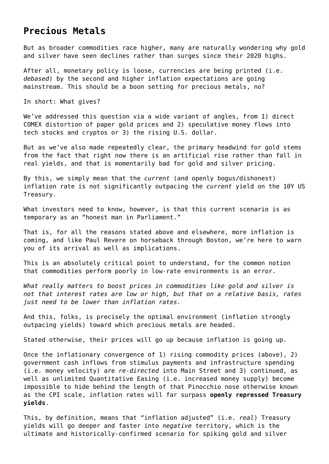#### **Precious Metals**

But as broader commodities race higher, many are naturally wondering why gold and silver have seen declines rather than surges since their 2020 highs.

After all, monetary policy is loose, currencies are being printed (i.e. *debased*) by the second and higher inflation expectations are going mainstream. This should be a boon setting for precious metals, no?

In short: What gives?

We've addressed this question via a wide variant of angles, from 1) direct COMEX distortion of paper gold prices and 2) speculative money flows into tech stocks and cryptos or 3) the rising U.S. dollar.

But as we've also made repeatedly clear, the primary headwind for gold stems from the fact that right now there is an artificial rise rather than fall in real yields, and that is momentarily bad for gold and silver pricing.

By this, we simply mean that the *current* (and openly bogus/dishonest) inflation rate is not significantly outpacing the *current* yield on the 10Y US Treasury.

What investors need to know, however, is that this current scenario is as temporary as an "honest man in Parliament."

That is, for all the reasons stated above and elsewhere, more inflation is coming, and like Paul Revere on horseback through Boston, we're here to warn you of its arrival as well as implications.

This is an absolutely critical point to understand, for the common notion that commodities perform poorly in low-rate environments is an error.

*What really matters to boost prices in commodities like gold and silver is not that interest rates are low or high, but that on a relative basis, rates just need to be lower than inflation rates.*

And this, folks, is precisely the optimal environment (inflation strongly outpacing yields) toward which precious metals are headed.

Stated otherwise, their prices will go up because inflation is going up.

Once the inflationary convergence of 1) rising commodity prices (above), 2) government cash inflows from stimulus payments and infrastructure spending (i.e. money velocity) are *re-directed* into Main Street and 3) continued, as well as unlimited Quantitative Easing (i.e. increased money supply) become impossible to hide behind the length of that Pinocchio nose otherwise known as the CPI scale, inflation rates will far surpass **[openly repressed Treasury](https://goldswitzerland.com/controlled-yields-are-curving-toward-gold/) [yields](https://goldswitzerland.com/controlled-yields-are-curving-toward-gold/)**.

This, by definition, means that "inflation adjusted" (i.e. *real*) Treasury yields will go deeper and faster into *negative* territory, which is the ultimate and historically-confirmed scenario for spiking gold and silver